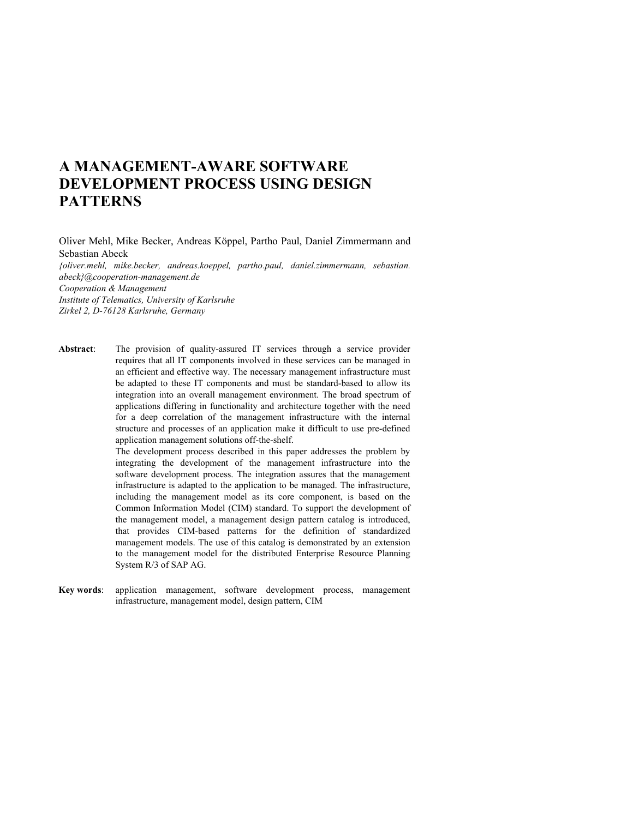# **A MANAGEMENT-AWARE SOFTWARE DEVELOPMENT PROCESS USING DESIGN PATTERNS**

Oliver Mehl, Mike Becker, Andreas Köppel, Partho Paul, Daniel Zimmermann and Sebastian Abeck

*{oliver.mehl, mike.becker, andreas.koeppel, partho.paul, daniel.zimmermann, sebastian. abeck}@cooperation-management.de* 

*Cooperation & Management Institute of Telematics, University of Karlsruhe Zirkel 2, D-76128 Karlsruhe, Germany*

**Abstract**: The provision of quality-assured IT services through a service provider requires that all IT components involved in these services can be managed in an efficient and effective way. The necessary management infrastructure must be adapted to these IT components and must be standard-based to allow its integration into an overall management environment. The broad spectrum of applications differing in functionality and architecture together with the need for a deep correlation of the management infrastructure with the internal structure and processes of an application make it difficult to use pre-defined application management solutions off-the-shelf.

> The development process described in this paper addresses the problem by integrating the development of the management infrastructure into the software development process. The integration assures that the management infrastructure is adapted to the application to be managed. The infrastructure, including the management model as its core component, is based on the Common Information Model (CIM) standard. To support the development of the management model, a management design pattern catalog is introduced, that provides CIM-based patterns for the definition of standardized management models. The use of this catalog is demonstrated by an extension to the management model for the distributed Enterprise Resource Planning System R/3 of SAP AG.

**Key words**: application management, software development process, management infrastructure, management model, design pattern, CIM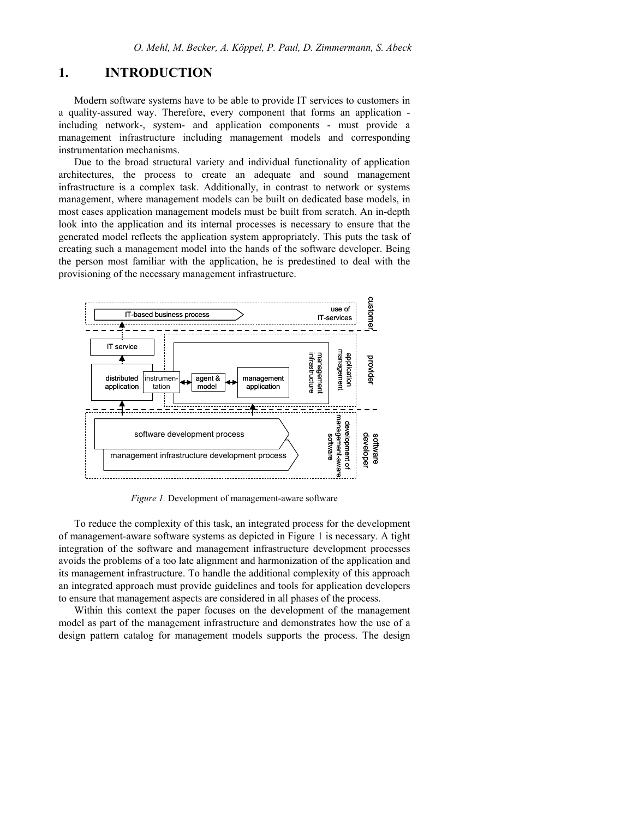### **1. INTRODUCTION**

Modern software systems have to be able to provide IT services to customers in a quality-assured way. Therefore, every component that forms an application including network-, system- and application components - must provide a management infrastructure including management models and corresponding instrumentation mechanisms.

Due to the broad structural variety and individual functionality of application architectures, the process to create an adequate and sound management infrastructure is a complex task. Additionally, in contrast to network or systems management, where management models can be built on dedicated base models, in most cases application management models must be built from scratch. An in-depth look into the application and its internal processes is necessary to ensure that the generated model reflects the application system appropriately. This puts the task of creating such a management model into the hands of the software developer. Being the person most familiar with the application, he is predestined to deal with the provisioning of the necessary management infrastructure.



*Figure 1.* Development of management-aware software

To reduce the complexity of this task, an integrated process for the development of management-aware software systems as depicted in Figure 1 is necessary. A tight integration of the software and management infrastructure development processes avoids the problems of a too late alignment and harmonization of the application and its management infrastructure. To handle the additional complexity of this approach an integrated approach must provide guidelines and tools for application developers to ensure that management aspects are considered in all phases of the process.

Within this context the paper focuses on the development of the management model as part of the management infrastructure and demonstrates how the use of a design pattern catalog for management models supports the process. The design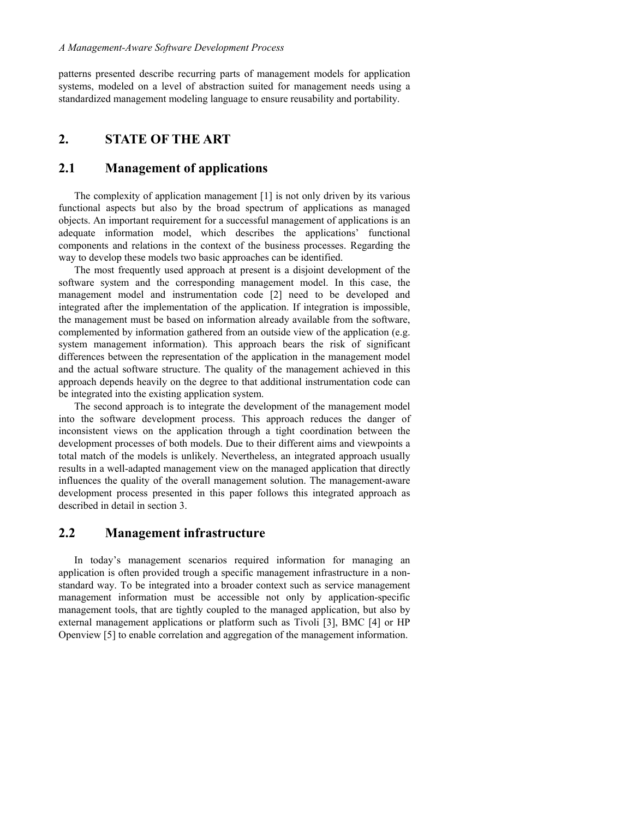patterns presented describe recurring parts of management models for application systems, modeled on a level of abstraction suited for management needs using a standardized management modeling language to ensure reusability and portability.

## **2. STATE OF THE ART**

### **2.1 Management of applications**

The complexity of application management [1] is not only driven by its various functional aspects but also by the broad spectrum of applications as managed objects. An important requirement for a successful management of applications is an adequate information model, which describes the applications' functional components and relations in the context of the business processes. Regarding the way to develop these models two basic approaches can be identified.

The most frequently used approach at present is a disjoint development of the software system and the corresponding management model. In this case, the management model and instrumentation code [2] need to be developed and integrated after the implementation of the application. If integration is impossible, the management must be based on information already available from the software, complemented by information gathered from an outside view of the application (e.g. system management information). This approach bears the risk of significant differences between the representation of the application in the management model and the actual software structure. The quality of the management achieved in this approach depends heavily on the degree to that additional instrumentation code can be integrated into the existing application system.

The second approach is to integrate the development of the management model into the software development process. This approach reduces the danger of inconsistent views on the application through a tight coordination between the development processes of both models. Due to their different aims and viewpoints a total match of the models is unlikely. Nevertheless, an integrated approach usually results in a well-adapted management view on the managed application that directly influences the quality of the overall management solution. The management-aware development process presented in this paper follows this integrated approach as described in detail in section 3.

### **2.2 Management infrastructure**

In today's management scenarios required information for managing an application is often provided trough a specific management infrastructure in a nonstandard way. To be integrated into a broader context such as service management management information must be accessible not only by application-specific management tools, that are tightly coupled to the managed application, but also by external management applications or platform such as Tivoli [3], BMC [4] or HP Openview [5] to enable correlation and aggregation of the management information.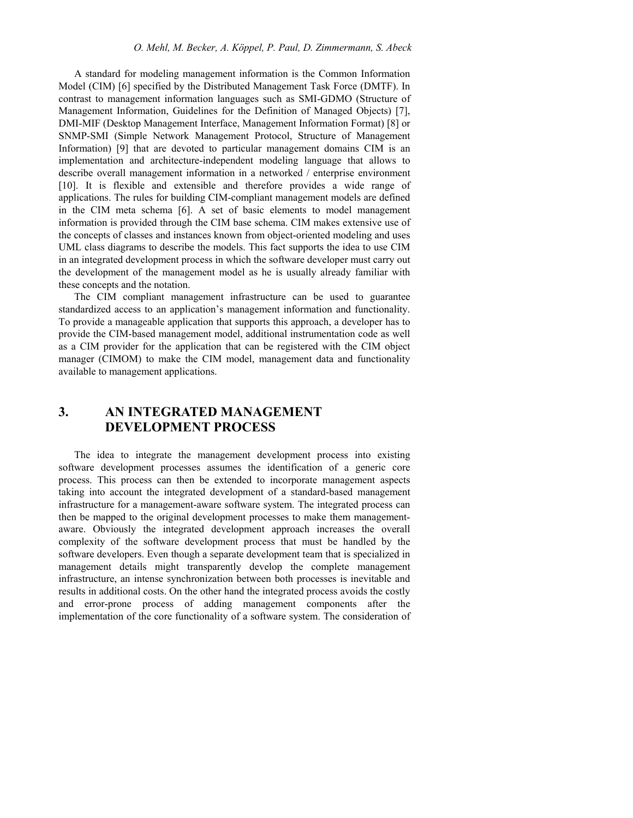A standard for modeling management information is the Common Information Model (CIM) [6] specified by the Distributed Management Task Force (DMTF). In contrast to management information languages such as SMI-GDMO (Structure of Management Information, Guidelines for the Definition of Managed Objects) [7], DMI-MIF (Desktop Management Interface, Management Information Format) [8] or SNMP-SMI (Simple Network Management Protocol, Structure of Management Information) [9] that are devoted to particular management domains CIM is an implementation and architecture-independent modeling language that allows to describe overall management information in a networked / enterprise environment [10]. It is flexible and extensible and therefore provides a wide range of applications. The rules for building CIM-compliant management models are defined in the CIM meta schema [6]. A set of basic elements to model management information is provided through the CIM base schema. CIM makes extensive use of the concepts of classes and instances known from object-oriented modeling and uses UML class diagrams to describe the models. This fact supports the idea to use CIM in an integrated development process in which the software developer must carry out the development of the management model as he is usually already familiar with these concepts and the notation.

The CIM compliant management infrastructure can be used to guarantee standardized access to an application's management information and functionality. To provide a manageable application that supports this approach, a developer has to provide the CIM-based management model, additional instrumentation code as well as a CIM provider for the application that can be registered with the CIM object manager (CIMOM) to make the CIM model, management data and functionality available to management applications.

## **3. AN INTEGRATED MANAGEMENT DEVELOPMENT PROCESS**

The idea to integrate the management development process into existing software development processes assumes the identification of a generic core process. This process can then be extended to incorporate management aspects taking into account the integrated development of a standard-based management infrastructure for a management-aware software system. The integrated process can then be mapped to the original development processes to make them managementaware. Obviously the integrated development approach increases the overall complexity of the software development process that must be handled by the software developers. Even though a separate development team that is specialized in management details might transparently develop the complete management infrastructure, an intense synchronization between both processes is inevitable and results in additional costs. On the other hand the integrated process avoids the costly and error-prone process of adding management components after the implementation of the core functionality of a software system. The consideration of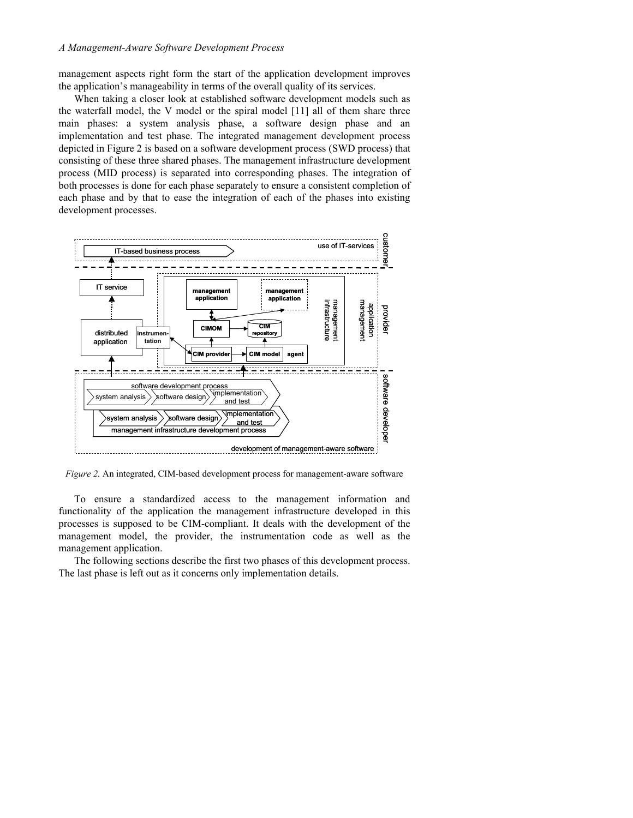management aspects right form the start of the application development improves the application's manageability in terms of the overall quality of its services.

When taking a closer look at established software development models such as the waterfall model, the V model or the spiral model [11] all of them share three main phases: a system analysis phase, a software design phase and an implementation and test phase. The integrated management development process depicted in Figure 2 is based on a software development process (SWD process) that consisting of these three shared phases. The management infrastructure development process (MID process) is separated into corresponding phases. The integration of both processes is done for each phase separately to ensure a consistent completion of each phase and by that to ease the integration of each of the phases into existing development processes.



*Figure 2.* An integrated, CIM-based development process for management-aware software

To ensure a standardized access to the management information and functionality of the application the management infrastructure developed in this processes is supposed to be CIM-compliant. It deals with the development of the management model, the provider, the instrumentation code as well as the management application.

The following sections describe the first two phases of this development process. The last phase is left out as it concerns only implementation details.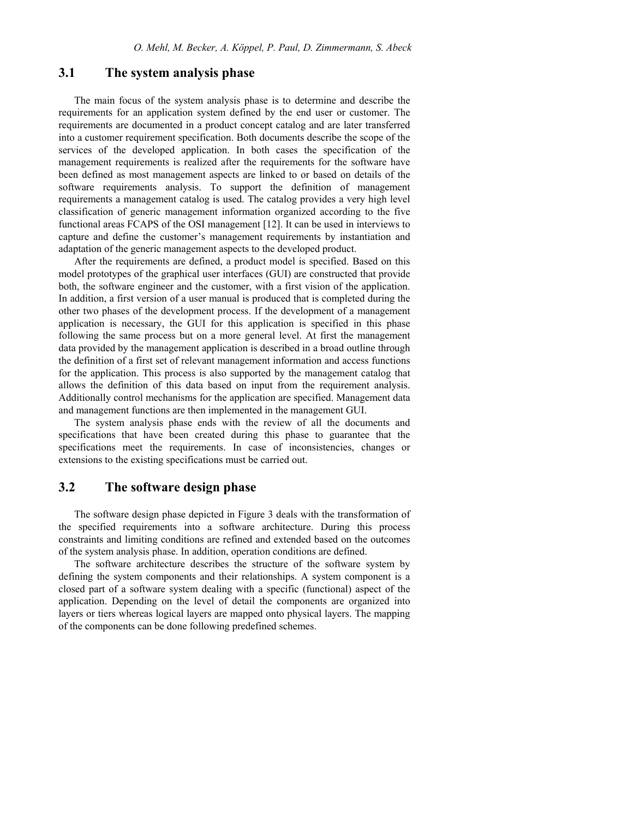### **3.1 The system analysis phase**

The main focus of the system analysis phase is to determine and describe the requirements for an application system defined by the end user or customer. The requirements are documented in a product concept catalog and are later transferred into a customer requirement specification. Both documents describe the scope of the services of the developed application. In both cases the specification of the management requirements is realized after the requirements for the software have been defined as most management aspects are linked to or based on details of the software requirements analysis. To support the definition of management requirements a management catalog is used. The catalog provides a very high level classification of generic management information organized according to the five functional areas FCAPS of the OSI management [12]. It can be used in interviews to capture and define the customer's management requirements by instantiation and adaptation of the generic management aspects to the developed product.

After the requirements are defined, a product model is specified. Based on this model prototypes of the graphical user interfaces (GUI) are constructed that provide both, the software engineer and the customer, with a first vision of the application. In addition, a first version of a user manual is produced that is completed during the other two phases of the development process. If the development of a management application is necessary, the GUI for this application is specified in this phase following the same process but on a more general level. At first the management data provided by the management application is described in a broad outline through the definition of a first set of relevant management information and access functions for the application. This process is also supported by the management catalog that allows the definition of this data based on input from the requirement analysis. Additionally control mechanisms for the application are specified. Management data and management functions are then implemented in the management GUI.

The system analysis phase ends with the review of all the documents and specifications that have been created during this phase to guarantee that the specifications meet the requirements. In case of inconsistencies, changes or extensions to the existing specifications must be carried out.

### **3.2 The software design phase**

The software design phase depicted in Figure 3 deals with the transformation of the specified requirements into a software architecture. During this process constraints and limiting conditions are refined and extended based on the outcomes of the system analysis phase. In addition, operation conditions are defined.

The software architecture describes the structure of the software system by defining the system components and their relationships. A system component is a closed part of a software system dealing with a specific (functional) aspect of the application. Depending on the level of detail the components are organized into layers or tiers whereas logical layers are mapped onto physical layers. The mapping of the components can be done following predefined schemes.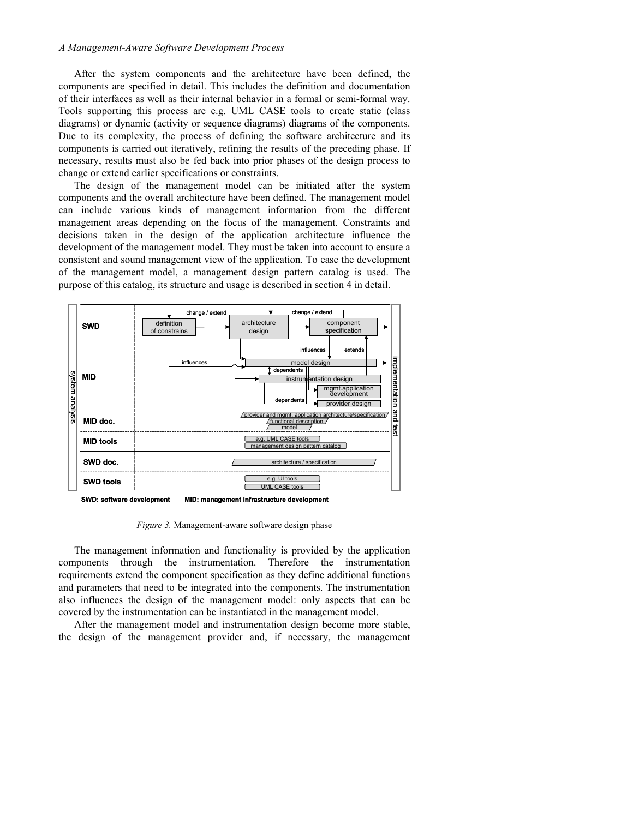After the system components and the architecture have been defined, the components are specified in detail. This includes the definition and documentation of their interfaces as well as their internal behavior in a formal or semi-formal way. Tools supporting this process are e.g. UML CASE tools to create static (class diagrams) or dynamic (activity or sequence diagrams) diagrams of the components. Due to its complexity, the process of defining the software architecture and its components is carried out iteratively, refining the results of the preceding phase. If necessary, results must also be fed back into prior phases of the design process to change or extend earlier specifications or constraints.

The design of the management model can be initiated after the system components and the overall architecture have been defined. The management model can include various kinds of management information from the different management areas depending on the focus of the management. Constraints and decisions taken in the design of the application architecture influence the development of the management model. They must be taken into account to ensure a consistent and sound management view of the application. To ease the development of the management model, a management design pattern catalog is used. The purpose of this catalog, its structure and usage is described in section 4 in detail.



**SWD: software development MID: management infrastructure development**

*Figure 3.* Management-aware software design phase

The management information and functionality is provided by the application components through the instrumentation. Therefore the instrumentation requirements extend the component specification as they define additional functions and parameters that need to be integrated into the components. The instrumentation also influences the design of the management model: only aspects that can be covered by the instrumentation can be instantiated in the management model.

After the management model and instrumentation design become more stable, the design of the management provider and, if necessary, the management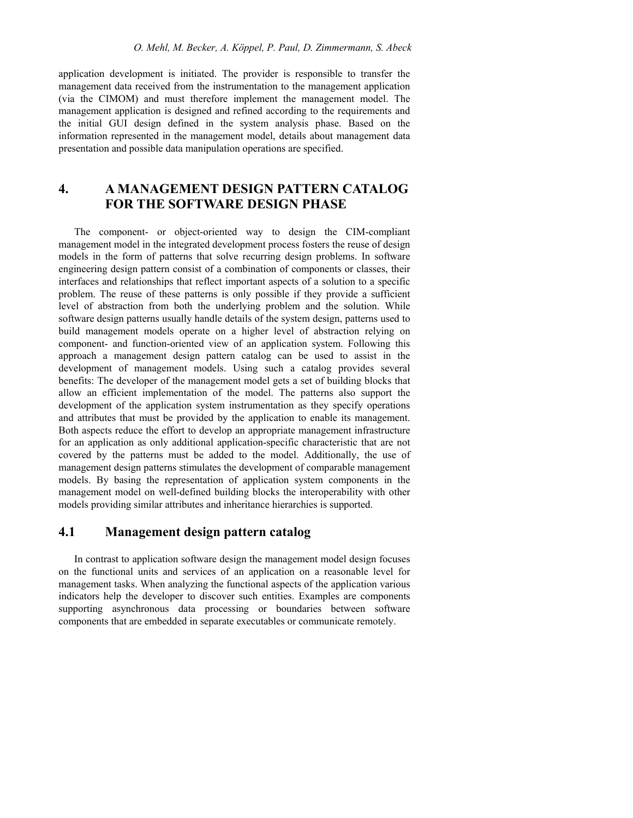application development is initiated. The provider is responsible to transfer the management data received from the instrumentation to the management application (via the CIMOM) and must therefore implement the management model. The management application is designed and refined according to the requirements and the initial GUI design defined in the system analysis phase. Based on the information represented in the management model, details about management data presentation and possible data manipulation operations are specified.

## **4. A MANAGEMENT DESIGN PATTERN CATALOG FOR THE SOFTWARE DESIGN PHASE**

The component- or object-oriented way to design the CIM-compliant management model in the integrated development process fosters the reuse of design models in the form of patterns that solve recurring design problems. In software engineering design pattern consist of a combination of components or classes, their interfaces and relationships that reflect important aspects of a solution to a specific problem. The reuse of these patterns is only possible if they provide a sufficient level of abstraction from both the underlying problem and the solution. While software design patterns usually handle details of the system design, patterns used to build management models operate on a higher level of abstraction relying on component- and function-oriented view of an application system. Following this approach a management design pattern catalog can be used to assist in the development of management models. Using such a catalog provides several benefits: The developer of the management model gets a set of building blocks that allow an efficient implementation of the model. The patterns also support the development of the application system instrumentation as they specify operations and attributes that must be provided by the application to enable its management. Both aspects reduce the effort to develop an appropriate management infrastructure for an application as only additional application-specific characteristic that are not covered by the patterns must be added to the model. Additionally, the use of management design patterns stimulates the development of comparable management models. By basing the representation of application system components in the management model on well-defined building blocks the interoperability with other models providing similar attributes and inheritance hierarchies is supported.

### **4.1 Management design pattern catalog**

In contrast to application software design the management model design focuses on the functional units and services of an application on a reasonable level for management tasks. When analyzing the functional aspects of the application various indicators help the developer to discover such entities. Examples are components supporting asynchronous data processing or boundaries between software components that are embedded in separate executables or communicate remotely.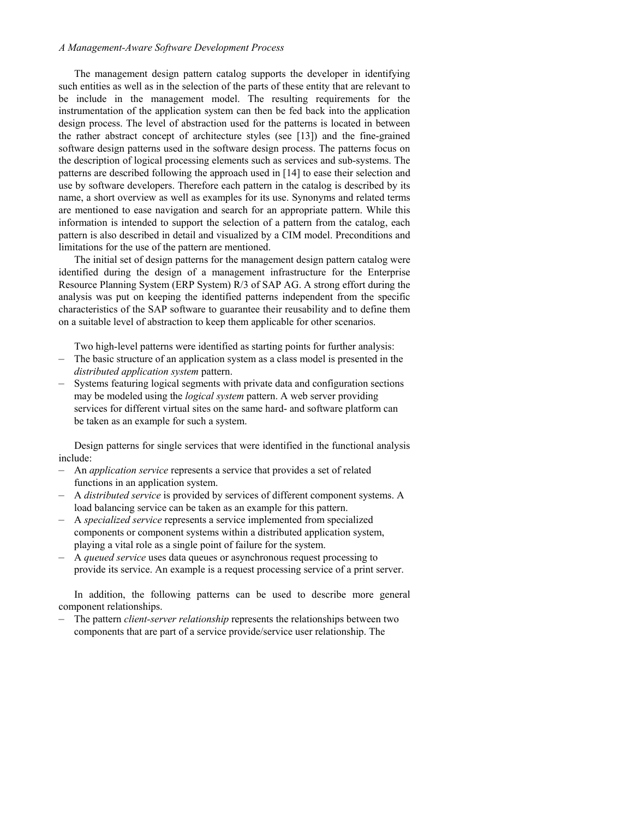The management design pattern catalog supports the developer in identifying such entities as well as in the selection of the parts of these entity that are relevant to be include in the management model. The resulting requirements for the instrumentation of the application system can then be fed back into the application design process. The level of abstraction used for the patterns is located in between the rather abstract concept of architecture styles (see [13]) and the fine-grained software design patterns used in the software design process. The patterns focus on the description of logical processing elements such as services and sub-systems. The patterns are described following the approach used in [14] to ease their selection and use by software developers. Therefore each pattern in the catalog is described by its name, a short overview as well as examples for its use. Synonyms and related terms are mentioned to ease navigation and search for an appropriate pattern. While this information is intended to support the selection of a pattern from the catalog, each pattern is also described in detail and visualized by a CIM model. Preconditions and limitations for the use of the pattern are mentioned.

The initial set of design patterns for the management design pattern catalog were identified during the design of a management infrastructure for the Enterprise Resource Planning System (ERP System) R/3 of SAP AG. A strong effort during the analysis was put on keeping the identified patterns independent from the specific characteristics of the SAP software to guarantee their reusability and to define them on a suitable level of abstraction to keep them applicable for other scenarios.

Two high-level patterns were identified as starting points for further analysis:

- The basic structure of an application system as a class model is presented in the *distributed application system* pattern.
- Systems featuring logical segments with private data and configuration sections may be modeled using the *logical system* pattern. A web server providing services for different virtual sites on the same hard- and software platform can be taken as an example for such a system.

Design patterns for single services that were identified in the functional analysis include:

- An *application service* represents a service that provides a set of related functions in an application system.
- A *distributed service* is provided by services of different component systems. A load balancing service can be taken as an example for this pattern.
- A *specialized service* represents a service implemented from specialized components or component systems within a distributed application system, playing a vital role as a single point of failure for the system.
- A *queued service* uses data queues or asynchronous request processing to provide its service. An example is a request processing service of a print server.

In addition, the following patterns can be used to describe more general component relationships.

– The pattern *client-server relationship* represents the relationships between two components that are part of a service provide/service user relationship. The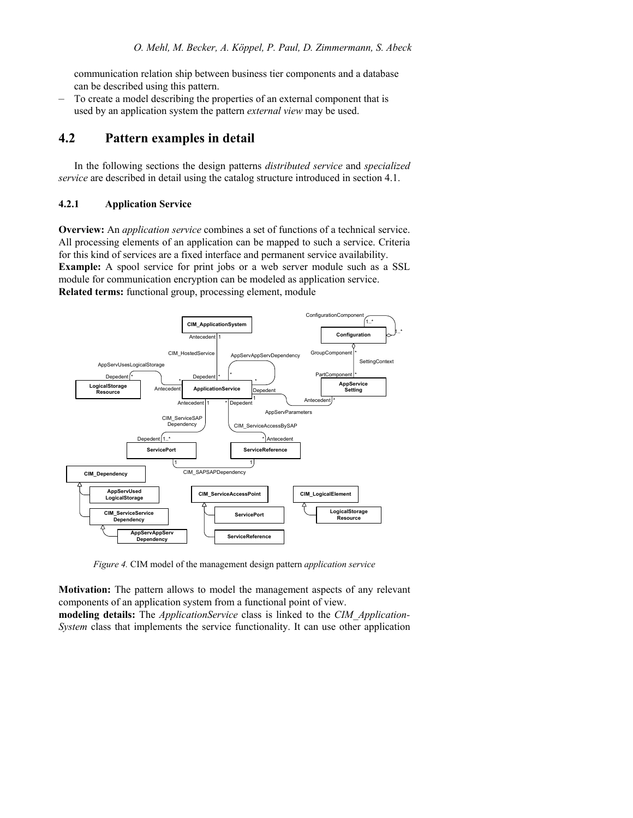communication relation ship between business tier components and a database can be described using this pattern.

– To create a model describing the properties of an external component that is used by an application system the pattern *external view* may be used.

## **4.2 Pattern examples in detail**

In the following sections the design patterns *distributed service* and *specialized service* are described in detail using the catalog structure introduced in section 4.1.

#### **4.2.1 Application Service**

**Overview:** An *application service* combines a set of functions of a technical service. All processing elements of an application can be mapped to such a service. Criteria for this kind of services are a fixed interface and permanent service availability. **Example:** A spool service for print jobs or a web server module such as a SSL module for communication encryption can be modeled as application service. **Related terms:** functional group, processing element, module



*Figure 4.* CIM model of the management design pattern *application service*

**Motivation:** The pattern allows to model the management aspects of any relevant components of an application system from a functional point of view. **modeling details:** The *ApplicationService* class is linked to the *CIM\_Application-System* class that implements the service functionality. It can use other application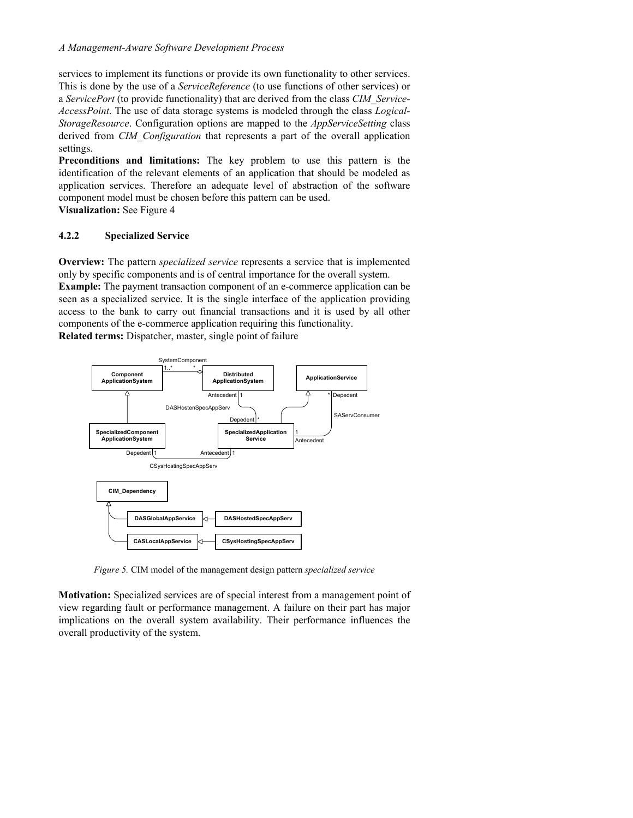services to implement its functions or provide its own functionality to other services. This is done by the use of a *ServiceReference* (to use functions of other services) or a *ServicePort* (to provide functionality) that are derived from the class *CIM\_Service-AccessPoint*. The use of data storage systems is modeled through the class *Logical-StorageResource*. Configuration options are mapped to the *AppServiceSetting* class derived from *CIM\_Configuration* that represents a part of the overall application settings.

**Preconditions and limitations:** The key problem to use this pattern is the identification of the relevant elements of an application that should be modeled as application services. Therefore an adequate level of abstraction of the software component model must be chosen before this pattern can be used.

**Visualization:** See Figure 4

### **4.2.2 Specialized Service**

**Overview:** The pattern *specialized service* represents a service that is implemented only by specific components and is of central importance for the overall system. **Example:** The payment transaction component of an e-commerce application can be seen as a specialized service. It is the single interface of the application providing access to the bank to carry out financial transactions and it is used by all other components of the e-commerce application requiring this functionality. **Related terms:** Dispatcher, master, single point of failure



*Figure 5.* CIM model of the management design pattern *specialized service*

**Motivation:** Specialized services are of special interest from a management point of view regarding fault or performance management. A failure on their part has major implications on the overall system availability. Their performance influences the overall productivity of the system.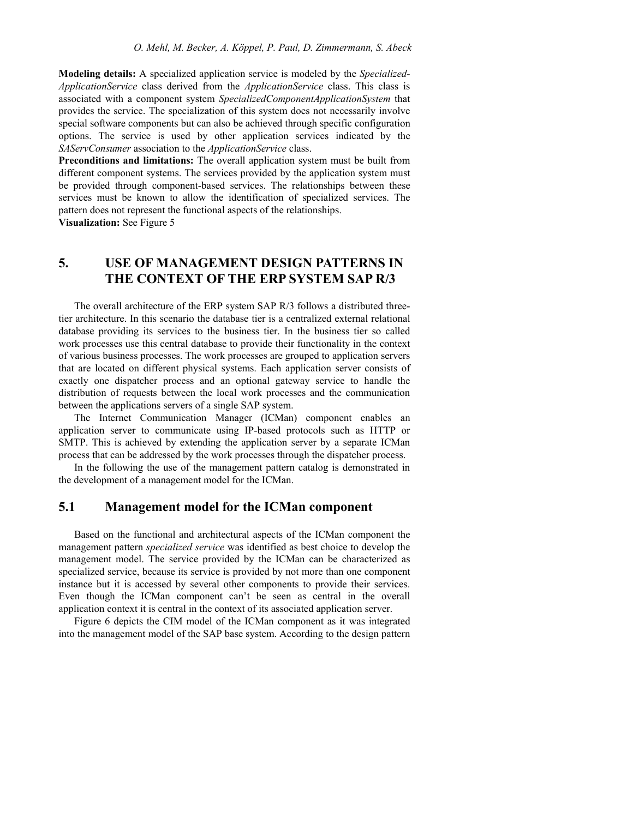**Modeling details:** A specialized application service is modeled by the *Specialized-ApplicationService* class derived from the *ApplicationService* class. This class is associated with a component system *SpecializedComponentApplicationSystem* that provides the service. The specialization of this system does not necessarily involve special software components but can also be achieved through specific configuration options. The service is used by other application services indicated by the *SAServConsumer* association to the *ApplicationService* class.

**Preconditions and limitations:** The overall application system must be built from different component systems. The services provided by the application system must be provided through component-based services. The relationships between these services must be known to allow the identification of specialized services. The pattern does not represent the functional aspects of the relationships.

**Visualization:** See Figure 5

## **5. USE OF MANAGEMENT DESIGN PATTERNS IN THE CONTEXT OF THE ERP SYSTEM SAP R/3**

The overall architecture of the ERP system SAP R/3 follows a distributed threetier architecture. In this scenario the database tier is a centralized external relational database providing its services to the business tier. In the business tier so called work processes use this central database to provide their functionality in the context of various business processes. The work processes are grouped to application servers that are located on different physical systems. Each application server consists of exactly one dispatcher process and an optional gateway service to handle the distribution of requests between the local work processes and the communication between the applications servers of a single SAP system.

The Internet Communication Manager (ICMan) component enables an application server to communicate using IP-based protocols such as HTTP or SMTP. This is achieved by extending the application server by a separate ICMan process that can be addressed by the work processes through the dispatcher process.

In the following the use of the management pattern catalog is demonstrated in the development of a management model for the ICMan.

## **5.1 Management model for the ICMan component**

Based on the functional and architectural aspects of the ICMan component the management pattern *specialized service* was identified as best choice to develop the management model. The service provided by the ICMan can be characterized as specialized service, because its service is provided by not more than one component instance but it is accessed by several other components to provide their services. Even though the ICMan component can't be seen as central in the overall application context it is central in the context of its associated application server.

Figure 6 depicts the CIM model of the ICMan component as it was integrated into the management model of the SAP base system. According to the design pattern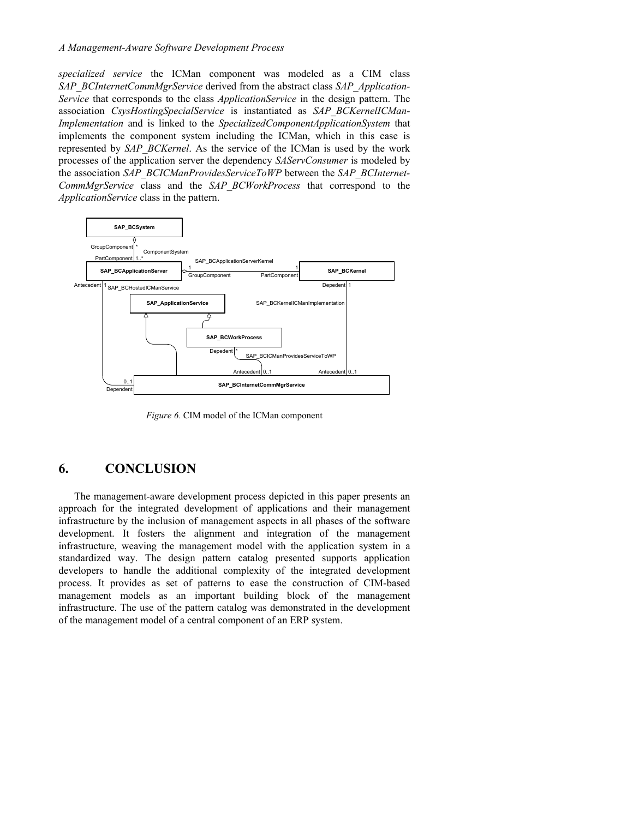*specialized service* the ICMan component was modeled as a CIM class *SAP\_BCInternetCommMgrService* derived from the abstract class *SAP\_Application-Service* that corresponds to the class *ApplicationService* in the design pattern. The association *CsysHostingSpecialService* is instantiated as *SAP\_BCKernelICMan-Implementation* and is linked to the *SpecializedComponentApplicationSystem* that implements the component system including the ICMan, which in this case is represented by *SAP\_BCKernel*. As the service of the ICMan is used by the work processes of the application server the dependency *SAServConsumer* is modeled by the association *SAP\_BCICManProvidesServiceToWP* between the *SAP\_BCInternet-CommMgrService* class and the *SAP\_BCWorkProcess* that correspond to the *ApplicationService* class in the pattern.



*Figure 6.* CIM model of the ICMan component

## **6. CONCLUSION**

The management-aware development process depicted in this paper presents an approach for the integrated development of applications and their management infrastructure by the inclusion of management aspects in all phases of the software development. It fosters the alignment and integration of the management infrastructure, weaving the management model with the application system in a standardized way. The design pattern catalog presented supports application developers to handle the additional complexity of the integrated development process. It provides as set of patterns to ease the construction of CIM-based management models as an important building block of the management infrastructure. The use of the pattern catalog was demonstrated in the development of the management model of a central component of an ERP system.